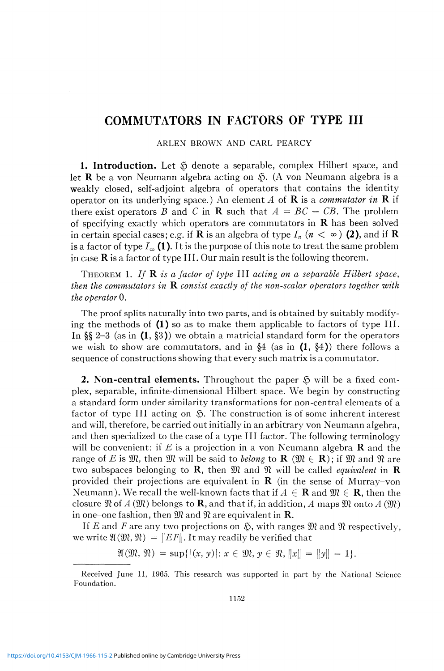## **COMMUTATORS IN FACTORS OF TYPE III**

## ARLEN BROWN AND CARL PEARCY

**1. Introduction.** Let *&* denote a separable, complex Hilbert space, and let  $R$  be a von Neumann algebra acting on  $\tilde{\mathcal{D}}$ . (A von Neumann algebra is a weakly closed, self-adjoint algebra of operators that contains the identity operator on its underlying space.) An element *A* of R is a *commutator in* R if there exist operators B and C in **R** such that  $A = BC - CB$ . The problem of specifying exactly which operators are commutators in  $\bf{R}$  has been solved in certain special cases; e.g. if **R** is an algebra of type  $I_n$  ( $n < \infty$ ) (2), and if **R** is a factor of type  $I_{\infty}$  (1). It is the purpose of this note to treat the same problem in case  $\bf{R}$  is a factor of type III. Our main result is the following theorem.

THEOREM 1. *If* R *is a factor of type* III *acting on a separable Hilbert space, then the commutators in* R *consist exactly of the non-scalar operators together with the operator* 0.

The proof splits naturally into two parts, and is obtained by suitably modifying the methods of  $(1)$  so as to make them applicable to factors of type III. In §§ 2–3 (as in  $(1, §3)$ ) we obtain a matricial standard form for the operators we wish to show are commutators, and in  $\S 4$  (as in (1,  $\S 4$ )) there follows a sequence of constructions showing that every such matrix is a commutator.

**2. Non-central elements.** Throughout the paper  $\tilde{S}$  will be a fixed complex, separable, infinite-dimensional Hilbert space. We begin by constructing a standard form under similarity transformations for non-central elements of a factor of type III acting on  $\tilde{\mathcal{D}}$ . The construction is of some inherent interest and will, therefore, be carried out initially in an arbitrary von Neumann algebra, and then specialized to the case of a type III factor. The following terminology will be convenient: if E is a projection in a von Neumann algebra  $\bf{R}$  and the range of *E* is  $\mathfrak{M}$ , then  $\mathfrak{M}$  will be said to *belong* to **R** ( $\mathfrak{M} \in \mathbf{R}$ ); if  $\mathfrak{M}$  and  $\mathfrak{N}$  are two subspaces belonging to **R**, then  $\mathfrak{M}$  and  $\mathfrak{N}$  will be called *equivalent* in **R** provided their projections are equivalent in  $\bf{R}$  (in the sense of Murray-von Neumann). We recall the well-known facts that if  $A \in \mathbf{R}$  and  $\mathfrak{M} \in \mathbf{R}$ , then the closure  $\mathfrak{R}$  of  $A(\mathfrak{M})$  belongs to **R**, and that if, in addition, A maps  $\mathfrak{M}$  onto  $A(\mathfrak{M})$ in one-one fashion, then  $\mathfrak{M}$  and  $\mathfrak{N}$  are equivalent in **R**.

If *E* and *F* are any two projections on  $\mathfrak{H}$ , with ranges  $\mathfrak{M}$  and  $\mathfrak{N}$  respectively, we write  $\mathfrak{A}(\mathfrak{M}, \mathfrak{N}) = \|EF\|$ . It may readily be verified that

$$
\mathfrak{A}(\mathfrak{M},\,\mathfrak{N})\,=\,\sup\{|(x,\,y)|\colon x\,\in\,\mathfrak{M},\,y\,\in\,\mathfrak{N},\,||x||\,=\,||y||\,=\,1\}.
$$

Received June 11, 1965. This research was supported in part by the National Science Foundation.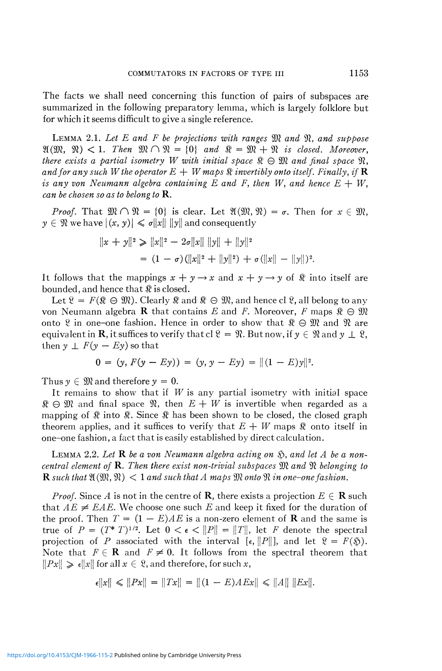The facts we shall need concerning this function of pairs of subspaces are summarized in the following preparatory lemma, which is largely folklore but for which it seems difficult to give a single reference.

LEMMA 2.1. *Let E and F be projections with ranges* 9W *and* 9Î, *and suppose*   $\mathfrak{A}(\mathfrak{M}, \mathfrak{N}) < 1$ . Then  $\mathfrak{M} \cap \mathfrak{N} = \{0\}$  and  $\mathfrak{N} = \mathfrak{M} + \mathfrak{N}$  is closed. Moreover, *there exists a partial isometry W with initial space*  $\Re \Theta \mathfrak{M}$  and final space  $\Re$ , *and for any such W the operator*  $E + W$  maps  $\Re$  *invertibly onto itself. Finally, if* **R** *is any von Neumann algebra containing E and F, then W, and hence*  $E + W$ , *can be chosen so as to belong to* R.

*Proof.* That  $\mathfrak{M} \cap \mathfrak{N} = \{0\}$  is clear. Let  $\mathfrak{A}(\mathfrak{M}, \mathfrak{N}) = \sigma$ . Then for  $x \in \mathfrak{M}$ ,  $y \in \mathcal{X}$  we have  $|(x, y)| \leq \sigma ||x|| ||y||$  and consequently

$$
||x + y||2 \ge ||x||2 - 2\sigma ||x|| ||y|| + ||y||2
$$
  
= (1 - \sigma) (||x||<sup>2</sup> + ||y||<sup>2</sup>) + \sigma (||x|| - ||y||)<sup>2</sup>.

It follows that the mappings  $x + y \rightarrow x$  and  $x + y \rightarrow y$  of  $\Re$  into itself are bounded, and hence that  $\Re$  is closed.

Let  $\mathcal{R} = F(\mathcal{R} \ominus \mathcal{M})$ . Clearly  $\mathcal{R}$  and  $\mathcal{R} \ominus \mathcal{M}$ , and hence cl  $\mathcal{R}$ , all belong to any von Neumann algebra **R** that contains E and F. Moreover, F maps  $\mathcal{R} \oplus \mathcal{W}$ onto  $\mathcal{R}$  in one-one fashion. Hence in order to show that  $\mathcal{R} \ominus \mathcal{R}$  and  $\mathcal{R}$  are equivalent in **R**, it suffices to verify that cl  $\mathcal{R} = \mathcal{R}$ . But now, if  $y \in \mathcal{R}$  and  $y \perp \mathcal{R}$ , then  $y \perp F(y - Ey)$  so that

$$
0 = (y, F(y - Ey)) = (y, y - Ey) = ||(1 - E)y||2.
$$

Thus  $y \in \mathfrak{M}$  and therefore  $y = 0$ .

It remains to show that if *W* is any partial isometry with initial space  $\mathfrak{R} \oplus \mathfrak{M}$  and final space  $\mathfrak{R}$ , then  $E+W$  is invertible when regarded as a mapping of  $\mathbb R$  into  $\mathbb R$ . Since  $\mathbb R$  has been shown to be closed, the closed graph theorem applies, and it suffices to verify that  $E + W$  maps  $\Re$  onto itself in one-one fashion, a fact that is easily established by direct calculation.

LEMMA 2.2. *Let* R *be a von Neumann algebra acting on* §, *and let A be a noncentral element of* R. *Then there exist non-trivial subspaces* SDÎ *and* 91 *belonging to*   $\mathbf R$  such that  $\mathfrak{A}(\mathfrak{M}, \mathfrak{N}) < 1$  and such that A maps  $\mathfrak{M}$  onto  $\mathfrak{N}$  in one-one fashion.

*Proof.* Since A is not in the centre of **R**, there exists a projection  $E \in \mathbf{R}$  such that  $AE \neq EAE$ . We choose one such E and keep it fixed for the duration of the proof. Then  $T = (1 - E)AE$  is a non-zero element of **R** and the same is true of  $P = (T^* T)^{1/2}$ . Let  $0 < \epsilon < ||P|| = ||T||$ , let *F* denote the spectral projection of *P* associated with the interval  $[\epsilon, ||P||]$ , and let  $\mathcal{R} = F(\mathfrak{H})$ . Note that  $F \in \mathbf{R}$  and  $F \neq 0$ . It follows from the spectral theorem that  $\|Px\| \geq \epsilon \|x\|$  for all  $x \in \mathcal{R}$ , and therefore, for such x,

$$
\epsilon \|x\| \leq \|Px\| = \|Tx\| = \|(1 - E)AEx\| \leq \|A\| \|Ex\|.
$$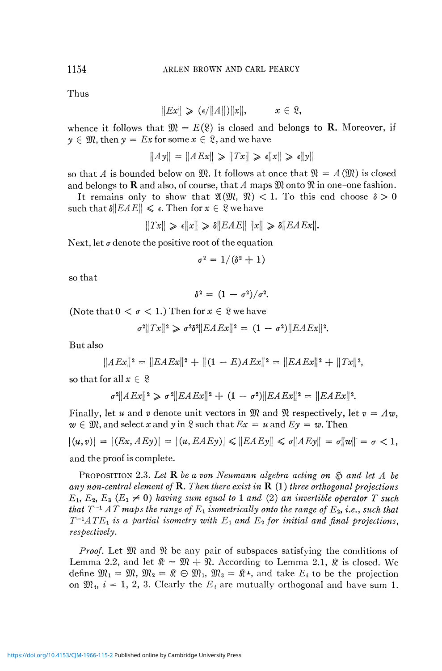Thus

$$
||Ex|| \geqslant (\epsilon/||A||)||x||, \qquad x \in \mathfrak{L},
$$

whence it follows that  $\mathfrak{M} = E(\mathfrak{L})$  is closed and belongs to **R**. Moreover, if  $y \in \mathfrak{M}$ , then  $y = Ex$  for some  $x \in \mathfrak{L}$ , and we have

$$
||Ay|| = ||AEx|| \ge ||Tx|| \ge \epsilon ||x|| \ge \epsilon ||y||
$$

so that A is bounded below on  $\mathfrak{M}$ . It follows at once that  $\mathfrak{N} = A(\mathfrak{M})$  is closed and belongs to **R** and also, of course, that A maps  $\mathfrak{M}$  onto  $\mathfrak{N}$  in one-one fashion.

It remains only to show that  $\mathfrak{A}(\mathfrak{M}, \mathfrak{N}) < 1$ . To this end choose  $\delta > 0$ such that  $\delta||EAE|| \leq \epsilon$ . Then for  $x \in \mathcal{X}$  we have

$$
||Tx|| \ge \epsilon ||x|| \ge \delta ||EAE|| \, ||x|| \ge \delta ||EAEx||.
$$

Next, let  $\sigma$  denote the positive root of the equation

$$
\sigma^2 = 1/(\delta^2 + 1)
$$

so that

 $\delta^2 = (1 - \sigma^2)/\sigma^2$ .

(Note that  $0 < \sigma < 1$ .) Then for  $x \in \mathcal{X}$  we have

 $\sigma^2 ||Tx||^2 \geq \sigma^2 \delta^2 ||EAEx||^2 = (1 - \sigma^2) ||EAEx||^2.$ 

But also

$$
||AEx||2 = ||EAEx||2 + ||(1 - E)AEx||2 = ||EAEx||2 + ||Tx||2,
$$

so that for all  $x \in \mathcal{X}$ 

$$
\sigma^2 ||AEx||^2 \geqslant \sigma^2 ||EAEx||^2 + (1 - \sigma^2) ||EAEx||^2 = ||EAEx||^2.
$$

Finally, let u and v denote unit vectors in  $\mathfrak{M}$  and  $\mathfrak{N}$  respectively, let  $v = Aw$ ,  $w \in \mathfrak{M}$ , and select x and y in  $\mathfrak{L}$  such that  $Ex = u$  and  $Ey = w$ . Then

 $|(u,v)| = |(Ex,AEy)| = |(u,EAEy)| \leq ||EAEy|| \leq \sigma||AEy|| = \sigma||w|| = \sigma < 1,$ and the proof is complete.

PROPOSITION 2.3. Let **R** be a von Neumann algebra acting on  $\Im$  and let A be *any non-central element of* R. *Then there exist in* R (1) *three orthogonal projections*   $E_1, E_2, E_3$  ( $E_1 \neq 0$ ) having sum equal to 1 and (2) an invertible operator T such *that T*<sup>-1</sup> AT maps the range of  $E_1$  isometrically onto the range of  $E_2$ , i.e., such that  $T^{-1}ATE_1$  *is a partial isometry with*  $E_1$  *and*  $E_2$  *for initial and final projections, respectively.* 

*Proof.* Let  $\mathfrak{M}$  and  $\mathfrak{N}$  be any pair of subspaces satisfying the conditions of Lemma 2.2, and let  $\mathbb{R} = \mathbb{R} + \mathbb{R}$ . According to Lemma 2.1,  $\mathbb{R}$  is closed. We define  $\mathfrak{M}_1 = \mathfrak{M}, \mathfrak{M}_2 = \mathfrak{K} \oplus \mathfrak{M}_1, \mathfrak{M}_3 = \mathfrak{K}^{\perp}$ , and take  $E_i$  to be the projection on  $\mathfrak{M}_i$ ,  $i = 1, 2, 3$ . Clearly the  $E_i$  are mutually orthogonal and have sum 1.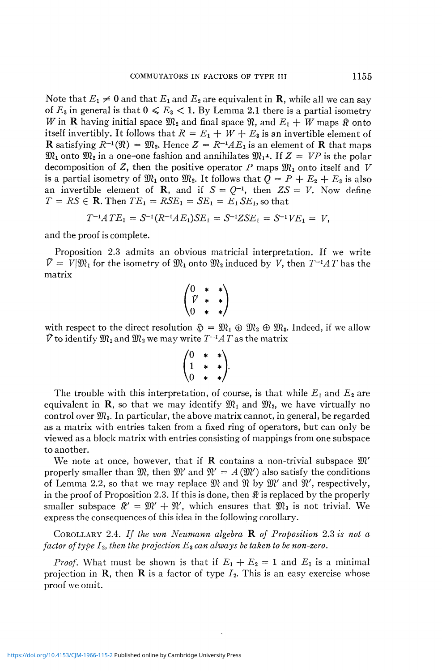Note that  $E_1 \neq 0$  and that  $E_1$  and  $E_2$  are equivalent in **R**, while all we can say of  $E_3$  in general is that  $0 \le E_3 < 1$ . By Lemma 2.1 there is a partial isometry *W* in **R** having initial space  $\mathfrak{M}_2$  and final space  $\mathfrak{R}$ , and  $E_1 + W$  maps  $\mathfrak{R}$  onto itself invertibly. It follows that  $R = E_1 + W + E_3$  is an invertible element of **R** satisfying  $R^{-1}(\mathfrak{N}) = \mathfrak{M}_2$ . Hence  $Z = R^{-1}AE_1$  is an element of **R** that maps  $\mathfrak{M}_1$  onto  $\mathfrak{M}_2$  in a one-one fashion and annihilates  $\mathfrak{M}_1$ <sup>1</sup>. If  $Z = VP$  is the polar decomposition of Z, then the positive operator  $P$  maps  $\mathfrak{M}_1$  onto itself and  $V$ is a partial isometry of  $\mathfrak{M}_1$  onto  $\mathfrak{M}_2$ . It follows that  $Q = P + E_2 + E_3$  is also an invertible element of **R**, and if  $S = Q^{-1}$ , then  $ZS = V$ . Now define  $T = RS \in \mathbb{R}$ . Then  $TE_1 = RSE_1 = SE_1 = E_1 SE_1$ , so that

$$
T^{-1}ATE_1 = S^{-1}(R^{-1}AE_1)SE_1 = S^{-1}ZSE_1 = S^{-1}VE_1 = V,
$$

and the proof is complete.

Proposition 2.3 admits an obvious matricial interpretation. If we write  $\tilde{V} = V|\mathfrak{M}_1$  for the isometry of  $\mathfrak{M}_1$  onto  $\mathfrak{M}_2$  induced by *V*, then  $T^{-1}AT$  has the matrix

$$
\begin{pmatrix} 0 & * & * \\ \tilde{V} & * & * \\ 0 & * & * \end{pmatrix}
$$

with respect to the direct resolution  $\mathfrak{S} = \mathfrak{M}_1 \oplus \mathfrak{M}_2 \oplus \mathfrak{M}_3$ . Indeed, if we allow  $\tilde{V}$  to identify  $\mathfrak{M}_1$  and  $\mathfrak{M}_2$  we may write  $T^{-1}AT$  as the matrix

$$
\begin{pmatrix} 0 & * & * \\ 1 & * & * \\ 0 & * & * \end{pmatrix}.
$$

The trouble with this interpretation, of course, is that while  $E_1$  and  $E_2$  are equivalent in **R**, so that we may identify  $\mathfrak{M}_1$  and  $\mathfrak{M}_2$ , we have virtually no control over  $\mathfrak{M}_3$ . In particular, the above matrix cannot, in general, be regarded as a matrix with entries taken from a fixed ring of operators, but can only be viewed as a block matrix with entries consisting of mappings from one subspace to another.

We note at once, however, that if **R** contains a non-trivial subspace  $\mathfrak{M}'$ properly smaller than  $\mathfrak{M}$ , then  $\mathfrak{M}'$  and  $\mathfrak{N}' = A(\mathfrak{M}')$  also satisfy the conditions of Lemma 2.2, so that we may replace  $\mathfrak{M}$  and  $\mathfrak{N}$  by  $\mathfrak{M}'$  and  $\mathfrak{N}'$ , respectively, in the proof of Proposition 2.3. If this is done, then  $\Re$  is replaced by the properly smaller subspace  $\mathbb{R}' = \mathbb{R}' + \mathbb{R}'$ , which ensures that  $\mathbb{R}_3$  is not trivial. We express the consequences of this idea in the following corollary.

COROLLARY 2.4. *If the von Neumann algebra* R *of Proposition* 2.3 *is not a factor of type* J2, *then the projection E<sup>z</sup> can always be taken to be non-zero.* 

*Proof.* What must be shown is that if  $E_1 + E_2 = 1$  and  $E_1$  is a minimal projection in **R**, then **R** is a factor of type  $I_2$ . This is an easy exercise whose proof we omit.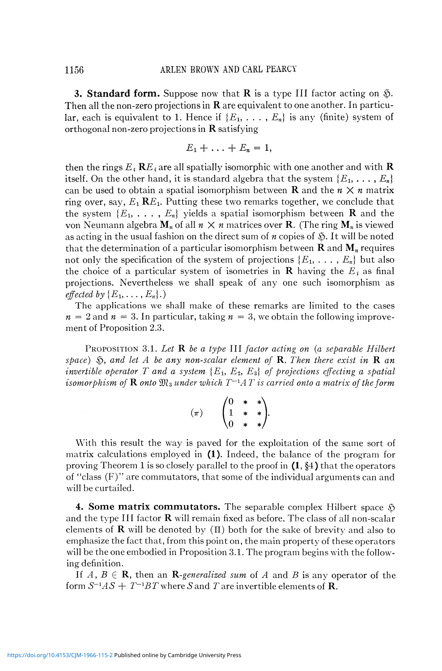**3. Standard form.** Suppose now that  $\bf{R}$  is a type III factor acting on  $\tilde{\bf{Q}}$ . Then all the non-zero projections in  $\bf R$  are equivalent to one another. In particular, each is equivalent to 1. Hence if  $\{E_1, \ldots, E_n\}$  is any (finite) system of orthogonal non-zero projections in  $\bf R$  satisfying

$$
E_1+\ldots+E_n=1,
$$

then the rings  $E$  *t*  $\mathbf{R}E$  *i* are all spatially isomorphic with one another and with  $\mathbf{R}$ itself. On the other hand, it is standard algebra that the system  $\{E_1, \ldots, E_n\}$ can be used to obtain a spatial isomorphism between **R** and the  $n \times n$  matrix ring over, say,  $E_1$  **R** $E_1$ . Putting these two remarks together, we conclude that the system  ${E_1, \ldots, E_n}$  yields a spatial isomorphism between **R** and the von Neumann algebra  $M_n$  of all  $n \times n$  matrices over **R**. (The ring  $M_n$  is viewed as acting in the usual fashion on the direct sum of  $n$  copies of  $\mathfrak{H}$ . It will be noted that the determination of a particular isomorphism between  $\bf{R}$  and  $\bf{M}$ <sub>n</sub> requires not only the specification of the system of projections  $\{E_1, \ldots, E_n\}$  but also the choice of a particular system of isometries in  $\bf{R}$  having the  $E_i$  as final projections. Nevertheless we shall speak of any one such isomorphism as *effected by*  $\{E_1, \ldots, E_n\}$ .

The applications we shall make of these remarks are limited to the cases  $n = 2$  and  $n = 3$ . In particular, taking  $n = 3$ , we obtain the following improvement of Proposition 2.3.

PROPOSITION 3.1. *Let R be a type* III *factor acting on (a separable Hilbert space)* §, *and let A be any non-scalar element of* R. *Then there exist in* R *an invertible operator T and a system*  $\{E_1, E_2, E_3\}$  of projections effecting a spatial *isomorphism of* **R** onto  $\mathfrak{M}_3$  under which  $T^{-1}AT$  is carried onto a matrix of the form

$$
(\pi) \qquad \begin{pmatrix} 0 & * & * \\ 1 & * & * \\ 0 & * & * \end{pmatrix}.
$$

With this result the way is paved for the exploitation of the same sort of matrix calculations employed in  $(1)$ . Indeed, the balance of the program for proving Theorem 1 is so closely parallel to the proof in  $(1, \S 4)$  that the operators of "class (F)" are commutators, that some of the individual arguments can and will be curtailed.

**4. Some matrix commutators.** The separable complex Hilbert space  $\mathfrak{H}$ and the type III factor  $\bf{R}$  will remain fixed as before. The class of all non-scalar elements of **R** will be denoted by  $(\Pi)$  both for the sake of brevity and also to emphasize the fact that, from this point on, the main property of these operators will be the one embodied in Proposition 3.1. The program begins with the following definition.

If  $A, B \in \mathbb{R}$ , then an R-generalized sum of A and B is any operator of the form  $S^{-1}AS+T^{-1}BT$  where  $S$  and  $T$  are invertible elements of  $\bf R$ .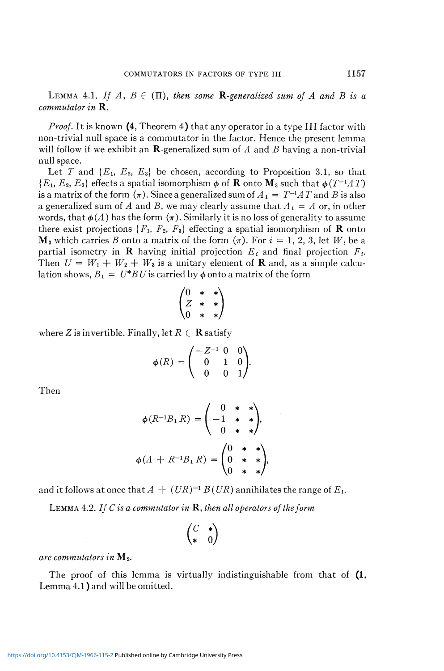LEMMA 4.1. If  $A, B \in (\Pi)$ , then some **R**-generalized sum of A and B is a *commutator in* R.

*Proof.* It is known (4, Theorem 4) that any operator in a type III factor with non-trivial null space is a commutator in the factor. Hence the present lemma will follow if we exhibit an R-generalized sum of *A* and *B* having a non-trivial null space.

Let T and  ${E_1, E_2, E_3}$  be chosen, according to Proposition 3.1, so that  ${E_1, E_2, E_3}$  effects a spatial isomorphism  $\phi$  of **R** onto **M**<sub>3</sub> such that  $\phi(T^{-1}AT)$ is a matrix of the form  $(\pi)$ . Since a generalized sum of  $A_1 = T^{-1}AT$  and B is also a generalized sum of A and B, we may clearly assume that  $A_1 = A$  or, in other words, that  $\phi(A)$  has the form  $(\pi)$ . Similarly it is no loss of generality to assume there exist projections  $\{F_1, F_2, F_3\}$  effecting a spatial isomorphism of **R** onto  $M_3$  which carries *B* onto a matrix of the form  $(\pi)$ . For  $i = 1, 2, 3$ , let  $W_i$  be a partial isometry in **R** having initial projection  $E_i$  and final projection  $F_i$ . Then  $U = W_1 + W_2 + W_3$  is a unitary element of **R** and, as a simple calculation shows,  $B_1 = U^* B U$  is carried by  $\phi$  onto a matrix of the form

$$
\begin{pmatrix} 0 & * & * \ z & * & * \ 0 & * & * \end{pmatrix}
$$

where *Z* is invertible. Finally, let  $R \in \mathbf{R}$  satisfy

$$
\phi(R) = \begin{pmatrix} -Z^{-1} & 0 & 0 \\ 0 & 1 & 0 \\ 0 & 0 & 1 \end{pmatrix}.
$$

Then

$$
\phi(R^{-1}B_1 R) = \begin{pmatrix} 0 & * & * \\ -1 & * & * \\ 0 & * & * \end{pmatrix},
$$

$$
\phi(A + R^{-1}B_1 R) = \begin{pmatrix} 0 & * & * \\ 0 & * & * \\ 0 & * & * \end{pmatrix},
$$

and it follows at once that  $A + (UR)^{-1} B(UR)$  annihilates the range of  $E_1$ .

LEMMA 4.2. *If C is a commutator in* R, *then all operators of the form* 

$$
\begin{pmatrix} C & * \\ * & 0 \end{pmatrix}
$$

*are commutators in* M<sub>2</sub>.

The proof of this lemma is virtually indistinguishable from that of  $(1, 1)$ Lemma 4.1 ) and will be omitted.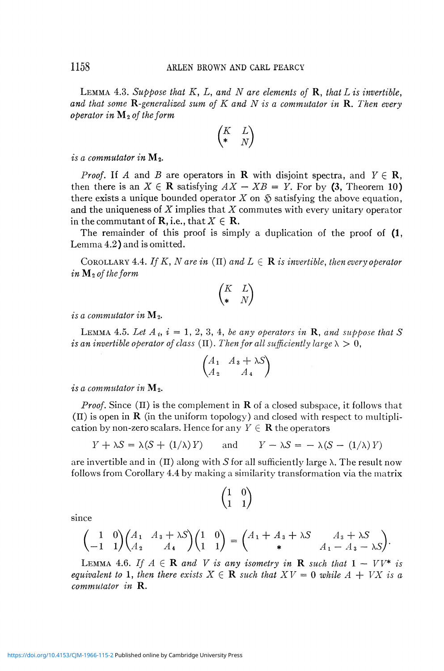LEMMA 4.3. *Suppose that K,* L, *and N are elements of* R, *that Lis invertible, and that some ^-generalized sum of K and N is a commutator in* R. *Then every operator in* M 2 *of the form* 

$$
\begin{pmatrix} K & L \\ * & N \end{pmatrix}
$$

*is a commutator in*  $M_2$ .

*Proof.* If A and B are operators in **R** with disjoint spectra, and  $Y \in \mathbb{R}$ , then there is an  $X \in \mathbb{R}$  satisfying  $AX - XB = Y$ . For by (3, Theorem 10) there exists a unique bounded operator  $X$  on  $\mathfrak S$  satisfying the above equation, and the uniqueness of *X* implies that *X* commutes with every unitary operator in the commutant of **R**, i.e., that  $X \in \mathbb{R}$ .

The remainder of this proof is simply a duplication of the proof of  $(1, 1)$ Lemma 4.2) and is omitted.

COROLLARY 4.4. If K, N are in  $(\Pi)$  and  $L \in \mathbf{R}$  is invertible, then every operator *in M 2 of the form* 

$$
\begin{pmatrix} K & L \\ * & N \end{pmatrix}
$$

*is a commutator in*  $\mathbf{M}_2$ .

LEMMA 4.5. Let  $A_i$ ,  $i = 1, 2, 3, 4$ , be any operators in  $\bf{R}$ , and suppose that  $S$ *is an invertible operator of class* ( $\Pi$ ). *Then for all sufficiently large*  $\lambda > 0$ ,

$$
\begin{pmatrix} A_1 & A_3 + \lambda S \\ A_2 & A_4 \end{pmatrix}
$$

*is a commutator in*  $M_2$ .

since

*Proof.* Since  $(\Pi)$  is the complement in **R** of a closed subspace, it follows that  $(\Pi)$  is open in **R** (in the uniform topology) and closed with respect to multiplication by non-zero scalars. Hence for any  $Y \in \mathbf{R}$  the operators

$$
Y + \lambda S = \lambda (S + (1/\lambda) Y) \quad \text{and} \quad Y - \lambda S = -\lambda (S - (1/\lambda) Y)
$$

are invertible and in  $(\Pi)$  along with *S* for all sufficiently large  $\lambda$ . The result now follows from Corollary 4.4 by making a similarity transformation via the matrix

 $\begin{pmatrix} 1 & 0 \\ 1 & 1 \end{pmatrix}$ 

$$
\begin{pmatrix} 1 & 0 \\ -1 & 1 \end{pmatrix} \begin{pmatrix} A_1 & A_3 + \lambda S \\ A_2 & A_4 \end{pmatrix} \begin{pmatrix} 1 & 0 \\ 1 & 1 \end{pmatrix} = \begin{pmatrix} A_1 + A_3 + \lambda S & A_3 + \lambda S \\ * & A_1 - A_3 - \lambda S \end{pmatrix}.
$$

LEMMA 4.6. If  $A \in \mathbb{R}$  and V is any isometry in  $\mathbb{R}$  such that  $1 - V V^*$  is *equivalent to* 1, then there exists  $X \in \mathbf{R}$  such that  $XV = 0$  while  $A + VX$  is a *commutator in* R.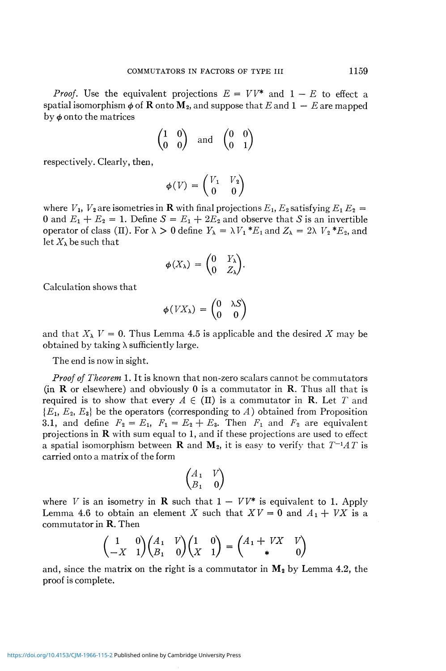*Proof.* Use the equivalent projections  $E = VV^*$  and  $1 - E$  to effect a spatial isomorphism  $\phi$  of **R** onto **M**<sub>2</sub>, and suppose that *E* and 1 – *E* are mapped by  $\phi$  onto the matrices

$$
\begin{pmatrix} 1 & 0 \\ 0 & 0 \end{pmatrix} \quad \text{and} \quad \begin{pmatrix} 0 & 0 \\ 0 & 1 \end{pmatrix}
$$

respectively. Clearly, then,

$$
\phi(V) = \begin{pmatrix} V_1 & V_2 \\ 0 & 0 \end{pmatrix}
$$

where  $V_1$ ,  $V_2$  are isometries in **R** with final projections  $E_1$ ,  $E_2$  satisfying  $E_1$   $E_2$  = 0 and  $E_1 + E_2 = 1$ . Define  $S = E_1 + 2E_2$  and observe that S is an invertible operator of class (II). For  $\lambda > 0$  define  $Y_{\lambda} = \lambda V_1 * E_1$  and  $Z_{\lambda} = 2\lambda V_2 * E_2$ , and let  $X_\lambda$  be such that

$$
\phi(X_{\lambda}) = \begin{pmatrix} 0 & Y_{\lambda} \\ 0 & Z_{\lambda} \end{pmatrix}.
$$

Calculation shows that

$$
\phi(VX_{\lambda}) = \begin{pmatrix} 0 & \lambda S \\ 0 & 0 \end{pmatrix}
$$

and that  $X_{\lambda}$   $V = 0$ . Thus Lemma 4.5 is applicable and the desired X may be obtained by taking  $\lambda$  sufficiently large.

The end is now in sight.

*Proof of Theorem* 1. It is known that non-zero scalars cannot be commutators (in **R** or elsewhere) and obviously 0 is a commutator in **R**. Thus all that is required is to show that every  $A \in (\Pi)$  is a commutator in **R**. Let T and  ${E_1, E_2, E_3}$  be the operators (corresponding to A) obtained from Proposition 3.1, and define  $F_2 = E_1$ ,  $F_1 = E_2 + E_3$ . Then  $F_1$  and  $F_2$  are equivalent projections in R with sum equal to 1, and if these projections are used to effect a spatial isomorphism between **R** and  $M_2$ , it is easy to verify that  $T^{-1}AT$  is carried onto a matrix of the form

$$
\begin{pmatrix} A_1 & V \\ B_1 & 0 \end{pmatrix}
$$

where *V* is an isometry in **R** such that  $1 - V V^*$  is equivalent to 1. Apply Lemma 4.6 to obtain an element *X* such that  $XY = 0$  and  $A_1 + VX$  is a commutator in R. Then

$$
\begin{pmatrix} 1 & 0 \ -X & 1 \end{pmatrix} \begin{pmatrix} A_1 & V \ B_1 & 0 \end{pmatrix} \begin{pmatrix} 1 & 0 \ X & 1 \end{pmatrix} = \begin{pmatrix} A_1 + VX & V \ \ast & 0 \end{pmatrix}
$$

and, since the matrix on the right is a commutator in  $M_2$  by Lemma 4.2, the proof is complete.